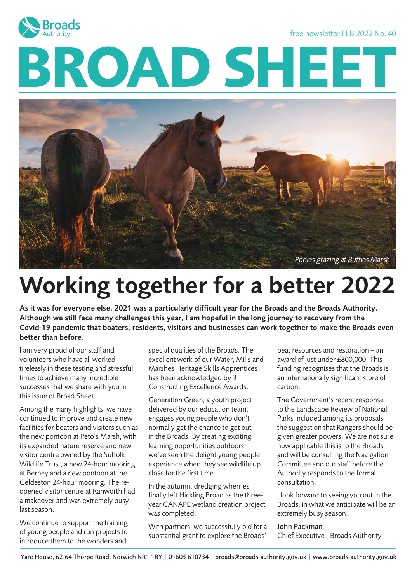

free newsletter FEB 2022 No. 40

# **BROAD SHEET**



# Working together for a better 2022

As it was for everyone else, 2021 was a particularly difficult year for the Broads and the Broads Authority. Although we still face many challenges this year, I am hopeful in the long journey to recovery from the Covid-19 pandemic that boaters, residents, visitors and businesses can work together to make the Broads even better than before.

I am very proud of our staff and volunteers who have all worked tirelessly in these testing and stressful times to achieve many incredible successes that we share with you in this issue of Broad Sheet.

Among the many highlights, we have continued to improve and create new facilities for boaters and visitors such as the new pontoon at Peto's Marsh, with its expanded nature reserve and new visitor centre owned by the Suffolk Wildlife Trust, a new 24-hour mooring at Berney and a new pontoon at the Geldeston 24-hour mooring. The reopened visitor centre at Ranworth had a makeover and was extremely busy last season.

We continue to support the training of young people and run projects to introduce them to the wonders and

special qualities of the Broads. The excellent work of our Water, Mills and Marshes Heritage Skills Apprentices has been acknowledged by 3 Constructing Excellence Awards.

Generation Green, a youth project delivered by our education team, engages young people who don't normally get the chance to get out in the Broads. By creating exciting learning opportunities outdoors, we've seen the delight young people experience when they see wildlife up close for the first time.

In the autumn, dredging wherries finally left Hickling Broad as the threeyear CANAPE wetland creation project was completed.

With partners, we successfully bid for a substantial grant to explore the Broads'

peat resources and restoration – an award of just under £800,000. This funding recognises that the Broads is an internationally significant store of carbon.

The Government's recent response to the Landscape Review of National Parks included among its proposals the suggestion that Rangers should be given greater powers. We are not sure how applicable this is to the Broads and will be consulting the Navigation Committee and our staff before the Authority responds to the formal consultation.

I look forward to seeing you out in the Broads, in what we anticipate will be an extremely busy season.

#### John Packman

Chief Executive - Broads Authority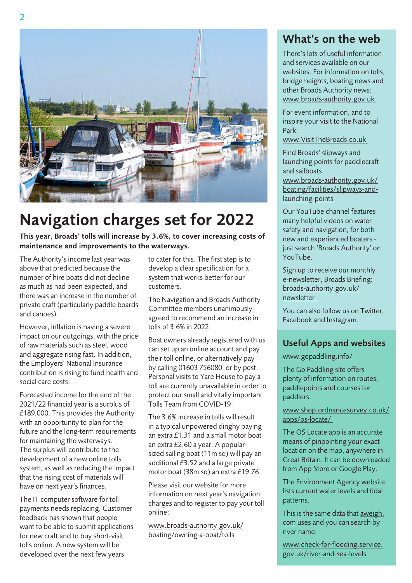

# Navigation charges set for 2022

This year, Broads' tolls will increase by 3.6%, to cover increasing costs of maintenance and improvements to the waterways.

The Authority's income last year was above that predicted because the number of hire boats did not decline as much as had been expected, and there was an increase in the number of private craft (particularly paddle boards and canoes).

However, inflation is having a severe impact on our outgoings, with the price of raw materials such as steel, wood and aggregate rising fast. In addition, the Employers' National Insurance contribution is rising to fund health and social care costs.

Forecasted income for the end of the 2021/22 financial year is a surplus of £189,000. This provides the Authority with an opportunity to plan for the future and the long-term requirements for maintaining the waterways. The surplus will contribute to the development of a new online tolls system, as well as reducing the impact that the rising cost of materials will have on next year's finances.

The IT computer software for toll payments needs replacing. Customer feedback has shown that people want to be able to submit applications for new craft and to buy short-visit tolls online. A new system will be developed over the next few years

to cater for this. The first step is to develop a clear specification for a system that works better for our customers.

The Navigation and Broads Authority Committee members unanimously agreed to recommend an increase in tolls of 3.6% in 2022.

Boat owners already registered with us can set up an online account and pay their toll online, or alternatively pay by calling 01603 756080, or by post. Personal visits to Yare House to pay a toll are currently unavailable in order to protect our small and vitally important Tolls Team from COVID-19.

The 3.6% increase in tolls will result in a typical unpowered dinghy paying an extra £1.31 and a small motor boat an extra £2.60 a year. A popularsized sailing boat (11m sq) will pay an additional £3.52 and a large private motor boat (38m sq) an extra £19.76.

Please visit our website for more information on next year's navigation charges and to register to pay your toll online:

[www.broads-authority.gov.uk/](http://www.broads-authority.gov.uk/boating/owning-a-boat/tolls) [boating/owning-a-boat/tolls](http://www.broads-authority.gov.uk/boating/owning-a-boat/tolls)

#### What's on the web

There's lots of useful information and services available on our websites. For information on tolls, bridge heights, boating news and other Broads Authority news: [www.broads-authority.gov.uk](http://www.broads-authority.gov.uk)

For event information, and to inspire your visit to the National Park:

[www.VisitTheBroads.co.uk](http://www.VisitTheBroads.co.uk )

Find Broads' slipways and launching points for paddlecraft and sailboats:

[www.broads-authority.gov.uk/](http://www.broads-authority.gov.uk/boating/facilities/slipways-and-launching-points) [boating/facilities/slipways-and](http://www.broads-authority.gov.uk/boating/facilities/slipways-and-launching-points)[launching-points](http://www.broads-authority.gov.uk/boating/facilities/slipways-and-launching-points)

Our YouTube channel features many helpful videos on water safety and navigation, for both new and experienced boaters just search 'Broads Authority' on YouTube.

Sign up to receive our monthly e-newsletter, Broads Briefing: [broads-authority.gov.uk/](http://broads-authority.gov.uk/newsletter) [newsletter](http://broads-authority.gov.uk/newsletter) 

You can also follow us on Twitter, Facebook and Instagram.

#### Useful Apps and websites

#### www.gopaddling.info/

The Go Paddling site offers plenty of information on routes, paddlepoints and courses for paddlers.

#### [www.shop.ordnancesurvey.co.uk/](http://www.shop.ordnancesurvey.co.uk/apps/os-locate/) [apps/os-locate/](http://www.shop.ordnancesurvey.co.uk/apps/os-locate/)

The OS Locate app is an accurate means of pinpointing your exact location on the map, anywhere in Great Britain. It can be downloaded from App Store or Google Play.

The Environment Agency website lists current water levels and tidal patterns.

This is the same data that [aweigh.](http://aweigh.com) [com](http://aweigh.com) uses and you can search by river name.

[www.check-for-flooding.service.](http://www.check-for-flooding.service.gov.uk/river-and-sea-levels) [gov.uk/river-and-sea-levels](http://www.check-for-flooding.service.gov.uk/river-and-sea-levels)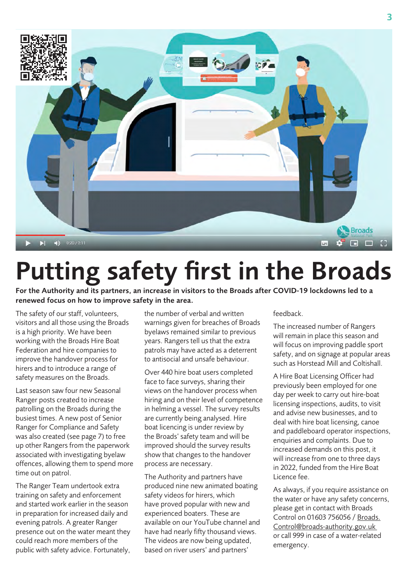

# Putting safety first in the Broads

For the Authority and its partners, an increase in visitors to the Broads after COVID-19 lockdowns led to a renewed focus on how to improve safety in the area.

The safety of our staff, volunteers, visitors and all those using the Broads is a high priority. We have been working with the Broads Hire Boat Federation and hire companies to improve the handover process for hirers and to introduce a range of safety measures on the Broads.

Last season saw four new Seasonal Ranger posts created to increase patrolling on the Broads during the busiest times. A new post of Senior Ranger for Compliance and Safety was also created (see page 7) to free up other Rangers from the paperwork associated with investigating byelaw offences, allowing them to spend more time out on patrol.

The Ranger Team undertook extra training on safety and enforcement and started work earlier in the season in preparation for increased daily and evening patrols. A greater Ranger presence out on the water meant they could reach more members of the public with safety advice. Fortunately,

the number of verbal and written warnings given for breaches of Broads byelaws remained similar to previous years. Rangers tell us that the extra patrols may have acted as a deterrent to antisocial and unsafe behaviour.

Over 440 hire boat users completed face to face surveys, sharing their views on the handover process when hiring and on their level of competence in helming a vessel. The survey results are currently being analysed. Hire boat licencing is under review by the Broads' safety team and will be improved should the survey results show that changes to the handover process are necessary.

The Authority and partners have produced nine new animated boating safety videos for hirers, which have proved popular with new and experienced boaters. These are available on our YouTube channel and have had nearly fifty thousand views. The videos are now being updated, based on river users' and partners'

#### feedback.

The increased number of Rangers will remain in place this season and will focus on improving paddle sport safety, and on signage at popular areas such as Horstead Mill and Coltishall.

A Hire Boat Licensing Officer had previously been employed for one day per week to carry out hire-boat licensing inspections, audits, to visit and advise new businesses, and to deal with hire boat licensing, canoe and paddleboard operator inspections, enquiries and complaints. Due to increased demands on this post, it will increase from one to three days in 2022, funded from the Hire Boat Licence fee.

As always, if you require assistance on the water or have any safety concerns, please get in contact with Broads Control on 01603 756056 / [Broads.](mailto:Broads.Control@broads-authority.gov.uk) [Control@broads-authority.gov.uk](mailto:Broads.Control@broads-authority.gov.uk) or call 999 in case of a water-related emergency.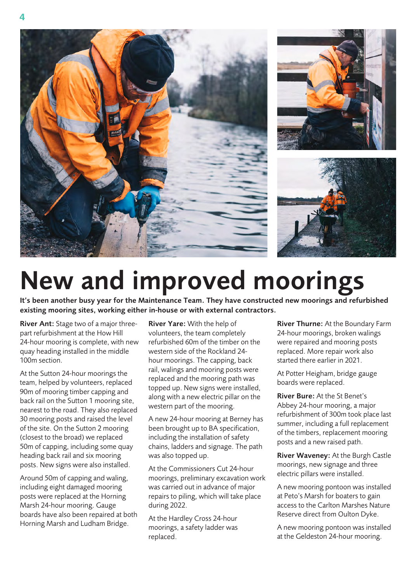





# New and improved moorings

It's been another busy year for the Maintenance Team. They have constructed new moorings and refurbished existing mooring sites, working either in-house or with external contractors.

River Ant: Stage two of a major threepart refurbishment at the How Hill 24-hour mooring is complete, with new quay heading installed in the middle 100m section.

At the Sutton 24-hour moorings the team, helped by volunteers, replaced 90m of mooring timber capping and back rail on the Sutton 1 mooring site, nearest to the road. They also replaced 30 mooring posts and raised the level of the site. On the Sutton 2 mooring (closest to the broad) we replaced 50m of capping, including some quay heading back rail and six mooring posts. New signs were also installed.

Around 50m of capping and waling, including eight damaged mooring posts were replaced at the Horning Marsh 24-hour mooring. Gauge boards have also been repaired at both Horning Marsh and Ludham Bridge.

River Yare: With the help of volunteers, the team completely refurbished 60m of the timber on the western side of the Rockland 24 hour moorings. The capping, back rail, walings and mooring posts were replaced and the mooring path was topped up. New signs were installed, along with a new electric pillar on the western part of the mooring.

A new 24-hour mooring at Berney has been brought up to BA specification, including the installation of safety chains, ladders and signage. The path was also topped up.

At the Commissioners Cut 24-hour moorings, preliminary excavation work was carried out in advance of major repairs to piling, which will take place during 2022.

At the Hardley Cross 24-hour moorings, a safety ladder was replaced.

River Thurne: At the Boundary Farm 24-hour moorings, broken walings were repaired and mooring posts replaced. More repair work also started there earlier in 2021.

At Potter Heigham, bridge gauge boards were replaced.

River Bure: At the St Benet's Abbey 24-hour mooring, a major refurbishment of 300m took place last summer, including a full replacement of the timbers, replacement mooring posts and a new raised path.

River Waveney: At the Burgh Castle moorings, new signage and three electric pillars were installed.

A new mooring pontoon was installed at Peto's Marsh for boaters to gain access to the Carlton Marshes Nature Reserve direct from Oulton Dyke.

A new mooring pontoon was installed at the Geldeston 24-hour mooring.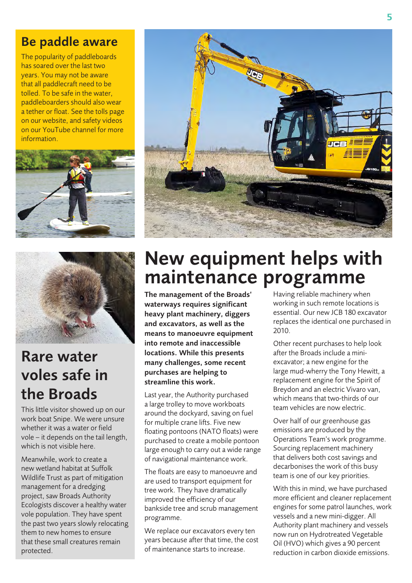### Be paddle aware

The popularity of paddleboards has soared over the last two years. You may not be aware that all paddlecraft need to be tolled. To be safe in the water, paddleboarders should also wear a tether or float. See the tolls page on our website, and safety videos on our YouTube channel for more information.





# Rare water voles safe in the Broads

This little visitor showed up on our work boat Snipe. We were unsure whether it was a water or field vole – it depends on the tail length, which is not visible here.

Meanwhile, work to create a new wetland habitat at Suffolk Wildlife Trust as part of mitigation management for a dredging project, saw Broads Authority Ecologists discover a healthy water vole population. They have spent the past two years slowly relocating them to new homes to ensure that these small creatures remain protected.



# New equipment helps with maintenance programme

The management of the Broads' waterways requires significant heavy plant machinery, diggers and excavators, as well as the means to manoeuvre equipment into remote and inaccessible locations. While this presents many challenges, some recent purchases are helping to streamline this work.

Last year, the Authority purchased a large trolley to move workboats around the dockyard, saving on fuel for multiple crane lifts. Five new floating pontoons (NATO floats) were purchased to create a mobile pontoon large enough to carry out a wide range of navigational maintenance work.

The floats are easy to manoeuvre and are used to transport equipment for tree work. They have dramatically improved the efficiency of our bankside tree and scrub management programme.

We replace our excavators every ten years because after that time, the cost of maintenance starts to increase.

Having reliable machinery when working in such remote locations is essential. Our new JCB 180 excavator replaces the identical one purchased in 2010.

Other recent purchases to help look after the Broads include a miniexcavator; a new engine for the large mud-wherry the Tony Hewitt, a replacement engine for the Spirit of Breydon and an electric Vivaro van, which means that two-thirds of our team vehicles are now electric.

Over half of our greenhouse gas emissions are produced by the Operations Team's work programme. Sourcing replacement machinery that delivers both cost savings and decarbonises the work of this busy team is one of our key priorities.

With this in mind, we have purchased more efficient and cleaner replacement engines for some patrol launches, work vessels and a new mini-digger. All Authority plant machinery and vessels now run on Hydrotreated Vegetable Oil (HVO) which gives a 90 percent reduction in carbon dioxide emissions.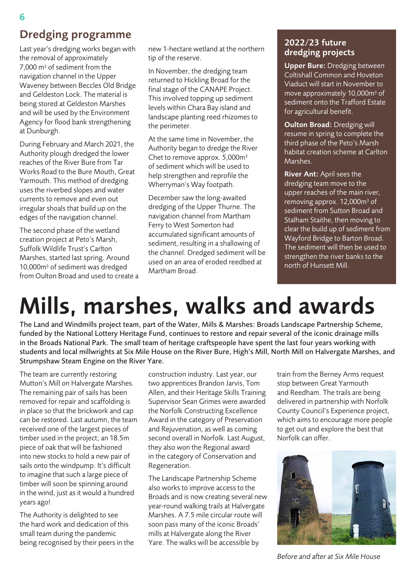## Dredging programme

Last year's dredging works began with the removal of approximately 7,000 m3 of sediment from the navigation channel in the Upper Waveney between Beccles Old Bridge and Geldeston Lock. The material is being stored at Geldeston Marshes and will be used by the Environment Agency for flood bank strengthening at Dunburgh.

During February and March 2021, the Authority plough dredged the lower reaches of the River Bure from Tar Works Road to the Bure Mouth, Great Yarmouth. This method of dredging uses the riverbed slopes and water currents to remove and even out irregular shoals that build up on the edges of the navigation channel.

The second phase of the wetland creation project at Peto's Marsh, Suffolk Wildlife Trust's Carlton Marshes, started last spring. Around 10,000m3 of sediment was dredged from Oulton Broad and used to create a new 1-hectare wetland at the northern tip of the reserve.

In November, the dredging team returned to Hickling Broad for the final stage of the CANAPE Project. This involved topping up sediment levels within Chara Bay island and landscape planting reed rhizomes to the perimeter.

At the same time in November, the Authority began to dredge the River Chet to remove approx. 5,000m3 of sediment which will be used to help strengthen and reprofile the Wherryman's Way footpath.

December saw the long-awaited dredging of the Upper Thurne. The navigation channel from Martham Ferry to West Somerton had accumulated significant amounts of sediment, resulting in a shallowing of the channel. Dredged sediment will be used on an area of eroded reedbed at Martham Broad.

#### 2022/23 future dredging projects

Upper Bure: Dredging between Coltishall Common and Hoveton Viaduct will start in November to move approximately 10,000m3 of sediment onto the Trafford Estate for agricultural benefit.

Oulton Broad: Dredging will resume in spring to complete the third phase of the Peto's Marsh habitat creation scheme at Carlton Marshes.

River Ant: April sees the dredging team move to the upper reaches of the main river, removing approx. 12,000m3 of sediment from Sutton Broad and Stalham Staithe, then moving to clear the build up of sediment from Wayford Bridge to Barton Broad. The sediment will then be used to strengthen the river banks to the north of Hunsett Mill.

# Mills, marshes, walks and awards

The Land and Windmills project team, part of the Water, Mills & Marshes: Broads Landscape Partnership Scheme, funded by the National Lottery Heritage Fund, continues to restore and repair several of the iconic drainage mills in the Broads National Park. The small team of heritage craftspeople have spent the last four years working with students and local millwrights at Six Mile House on the River Bure, High's Mill, North Mill on Halvergate Marshes, and Strumpshaw Steam Engine on the River Yare.

The team are currently restoring Mutton's Mill on Halvergate Marshes. The remaining pair of sails has been removed for repair and scaffolding is in place so that the brickwork and cap can be restored. Last autumn, the team received one of the largest pieces of timber used in the project; an 18.5m piece of oak that will be fashioned into new stocks to hold a new pair of sails onto the windpump. It's difficult to imagine that such a large piece of timber will soon be spinning around in the wind, just as it would a hundred years ago!

The Authority is delighted to see the hard work and dedication of this small team during the pandemic being recognised by their peers in the construction industry. Last year, our two apprentices Brandon Jarvis, Tom Allen, and their Heritage Skills Training Supervisor Sean Grimes were awarded the Norfolk Constructing Excellence Award in the category of Preservation and Rejuvenation, as well as coming second overall in Norfolk. Last August, they also won the Regional award in the category of Conservation and Regeneration.

The Landscape Partnership Scheme also works to improve access to the Broads and is now creating several new year-round walking trails at Halvergate Marshes. A 7.5 mile circular route will soon pass many of the iconic Broads' mills at Halvergate along the River Yare. The walks will be accessible by

train from the Berney Arms request stop between Great Yarmouth and Reedham. The trails are being delivered in partnership with Norfolk County Council's Experience project, which aims to encourage more people to get out and explore the best that Norfolk can offer.



*Before and after at Six Mile House*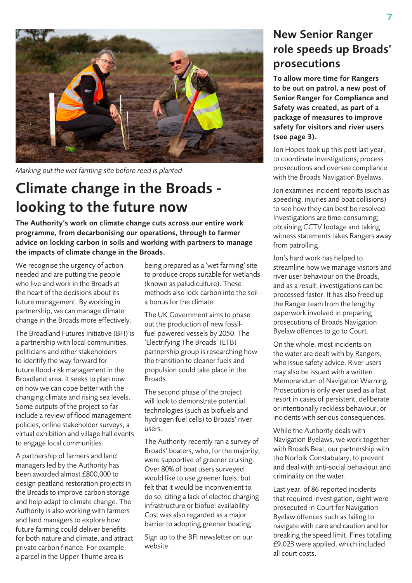

*Marking out the wet farming site before reed is planted*

# Climate change in the Broads looking to the future now

The Authority's work on climate change cuts across our entire work programme, from decarbonising our operations, through to farmer advice on locking carbon in soils and working with partners to manage the impacts of climate change in the Broads.

We recognise the urgency of action needed and are putting the people who live and work in the Broads at the heart of the decisions about its future management. By working in partnership, we can manage climate change in the Broads more effectively.

The Broadland Futures Initiative (BFI) is a partnership with local communities, politicians and other stakeholders to identify the way forward for future flood-risk management in the Broadland area. It seeks to plan now on how we can cope better with the changing climate and rising sea levels. Some outputs of the project so far include a review of flood management policies, online stakeholder surveys, a virtual exhibition and village hall events to engage local communities.

A partnership of farmers and land managers led by the Authority has been awarded almost £800,000 to design peatland restoration projects in the Broads to improve carbon storage and help adapt to climate change. The Authority is also working with farmers and land managers to explore how future farming could deliver benefits for both nature and climate, and attract private carbon finance. For example, a parcel in the Upper Thurne area is

being prepared as a 'wet farming' site to produce crops suitable for wetlands (known as paludiculture). These methods also lock carbon into the soil a bonus for the climate.

The UK Government aims to phase out the production of new fossilfuel powered vessels by 2050. The 'Electrifying The Broads' (ETB) partnership group is researching how the transition to cleaner fuels and propulsion could take place in the Broads.

The second phase of the project will look to demonstrate potential technologies (such as biofuels and hydrogen fuel cells) to Broads' river users.

The Authority recently ran a survey of Broads' boaters, who, for the majority, were supportive of greener cruising. Over 80% of boat users surveyed would like to use greener fuels, but felt that it would be inconvenient to do so, citing a lack of electric charging infrastructure or biofuel availability. Cost was also regarded as a major barrier to adopting greener boating.

Sign up to the BFI newsletter on our website.

## New Senior Ranger role speeds up Broads' prosecutions

To allow more time for Rangers to be out on patrol, a new post of Senior Ranger for Compliance and Safety was created, as part of a package of measures to improve safety for visitors and river users (see page 3).

Jon Hopes took up this post last year, to coordinate investigations, process prosecutions and oversee compliance with the Broads Navigation Byelaws.

Jon examines incident reports (such as speeding, injuries and boat collisions) to see how they can best be resolved. Investigations are time-consuming; obtaining CCTV footage and taking witness statements takes Rangers away from patrolling.

Jon's hard work has helped to streamline how we manage visitors and river user behaviour on the Broads, and as a result, investigations can be processed faster. It has also freed up the Ranger team from the lengthy paperwork involved in preparing prosecutions of Broads Navigation Byelaw offences to go to Court.

On the whole, most incidents on the water are dealt with by Rangers, who issue safety advice. River users may also be issued with a written Memorandum of Navigation Warning. Prosecution is only ever used as a last resort in cases of persistent, deliberate or intentionally reckless behaviour, or incidents with serious consequences.

While the Authority deals with Navigation Byelaws, we work together with Broads Beat, our partnership with the Norfolk Constabulary, to prevent and deal with anti-social behaviour and criminality on the water.

Last year, of 86 reported incidents that required investigation, eight were prosecuted in Court for Navigation Byelaw offences such as failing to navigate with care and caution and for breaking the speed limit. Fines totalling £9,023 were applied, which included all court costs.